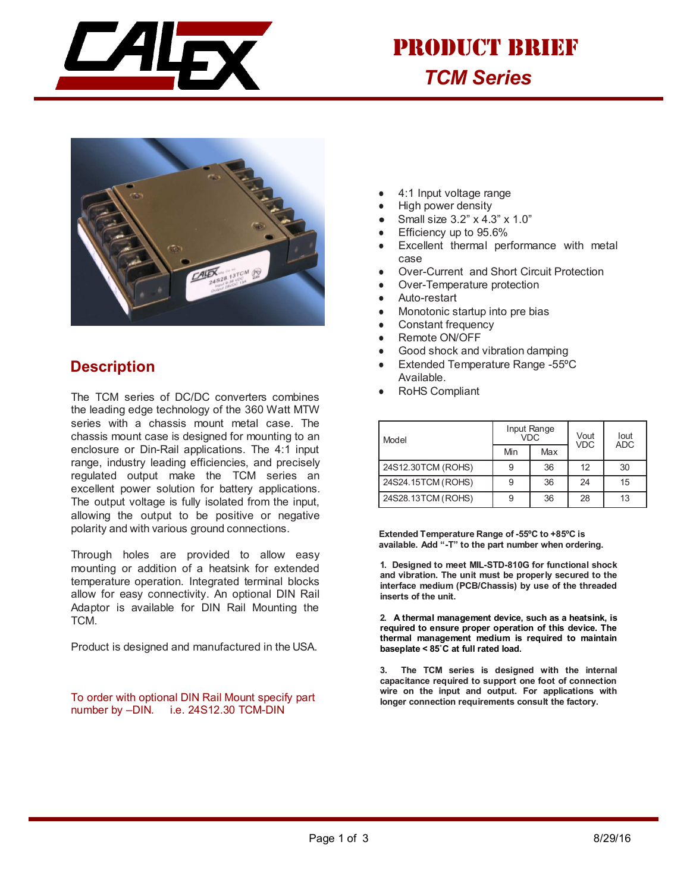

## *TCM Series* PRODUCT BRIEF



## **Description**

The TCM series of DC/DC converters combines the leading edge technology of the 360 Watt MTW series with a chassis mount metal case. The chassis mount case is designed for mounting to an enclosure or Din-Rail applications. The 4:1 input range, industry leading efficiencies, and precisely regulated output make the TCM series an excellent power solution for battery applications. The output voltage is fully isolated from the input, allowing the output to be positive or negative polarity and with various ground connections.

Through holes are provided to allow easy mounting or addition of a heatsink for extended temperature operation. Integrated terminal blocks allow for easy connectivity. An optional DIN Rail Adaptor is available for DIN Rail Mounting the TCM.

Product is designed and manufactured in the USA.

To order with optional DIN Rail Mount specify part number by –DIN. i.e. 24S12.30 TCM-DIN

- 4:1 Input voltage range
- **High power density**
- Small size 3.2" x 4.3" x 1.0"
- Efficiency up to 95.6%
- Excellent thermal performance with metal case
- Over-Current and Short Circuit Protection
- Over-Temperature protection
- Auto-restart
- Monotonic startup into pre bias
- Constant frequency
- Remote ON/OFF
- Good shock and vibration damping
- Extended Temperature Range -55°C Available.
- RoHS Compliant

| Model              |     | Input Range<br><b>VDC</b> | Vout<br><b>VDC</b> | lout<br><b>ADC</b> |  |
|--------------------|-----|---------------------------|--------------------|--------------------|--|
|                    | Min | Max                       |                    |                    |  |
| 24S12.30TCM (ROHS) |     | 36                        | 12                 | 30                 |  |
| 24S24.15TCM (ROHS) |     | 36                        | 24                 | 15                 |  |
| 24S28.13TCM (ROHS) |     | 36                        | 28                 | 13                 |  |

**Extended Temperature Range of -55ºC to +85ºC is available. Add "-T" to the part number when ordering.**

**1. Designed to meet MIL-STD-810G for functional shock and vibration. The unit must be properly secured to the interface medium (PCB/Chassis) by use of the threaded inserts of the unit.**

**2. A thermal management device, such as a heatsink, is required to ensure proper operation of this device. The thermal management medium is required to maintain baseplate < 85˚C at full rated load.**

**3. The TCM series is designed with the internal capacitance required to support one foot of connection wire on the input and output. For applications with longer connection requirements consult the factory.**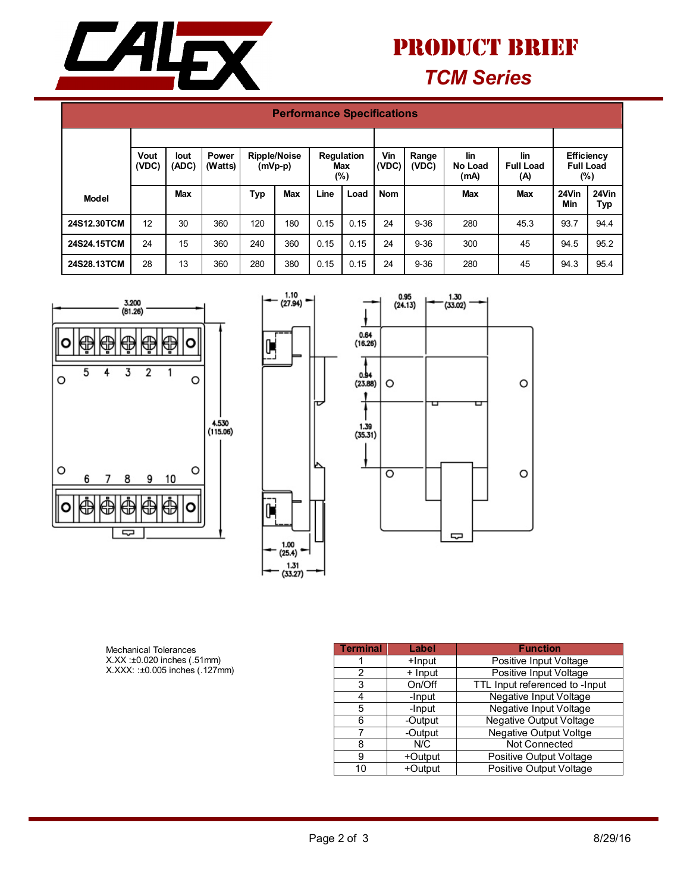

## *TCM Series* PRODUCT BRIEF

| <b>Performance Specifications</b> |               |               |                  |                                                                        |            |      |                                                                                            |            |          |                                                 |            |              |              |
|-----------------------------------|---------------|---------------|------------------|------------------------------------------------------------------------|------------|------|--------------------------------------------------------------------------------------------|------------|----------|-------------------------------------------------|------------|--------------|--------------|
|                                   | Vout<br>(VDC) | lout<br>(ADC) | Power<br>(Watts) | <b>Ripple/Noise</b><br><b>Regulation</b><br>$(mVp-p)$<br>Max<br>$(\%)$ |            |      | Vin<br>lin<br>lin<br>Range<br>(VDC)<br><b>Full Load</b><br>(VDC)<br>No Load<br>(mA)<br>(A) |            |          | <b>Efficiency</b><br><b>Full Load</b><br>$(\%)$ |            |              |              |
| <b>Model</b>                      |               | <b>Max</b>    |                  | Typ                                                                    | <b>Max</b> | Line | Load                                                                                       | <b>Nom</b> |          | Max                                             | <b>Max</b> | 24Vin<br>Min | 24Vin<br>Тур |
| 24S12.30TCM                       | 12            | 30            | 360              | 120                                                                    | 180        | 0.15 | 0.15                                                                                       | 24         | $9 - 36$ | 280                                             | 45.3       | 93.7         | 94.4         |
| 24S24.15TCM                       | 24            | 15            | 360              | 240                                                                    | 360        | 0.15 | 0.15                                                                                       | 24         | $9 - 36$ | 300                                             | 45         | 94.5         | 95.2         |
| 24S28.13TCM                       | 28            | 13            | 360              | 280                                                                    | 380        | 0.15 | 0.15                                                                                       | 24         | $9 - 36$ | 280                                             | 45         | 94.3         | 95.4         |







Mechanical Tolerances X.XX :±0.020 inches (.51mm) X.XXX: :±0.005 inches (.127mm)

| <b>Terminal</b> | Label   | <b>Function</b>                |  |  |  |
|-----------------|---------|--------------------------------|--|--|--|
|                 | +Input  | Positive Input Voltage         |  |  |  |
| 2               | + Input | Positive Input Voltage         |  |  |  |
| 3               | On/Off  | TTL Input referenced to -Input |  |  |  |
|                 | -Input  | Negative Input Voltage         |  |  |  |
| 5               | -Input  | Negative Input Voltage         |  |  |  |
| 6               | -Output | <b>Negative Output Voltage</b> |  |  |  |
|                 | -Output | <b>Negative Output Voltge</b>  |  |  |  |
| 8               | N/C     | <b>Not Connected</b>           |  |  |  |
| 9               | +Output | Positive Output Voltage        |  |  |  |
| 10              | +Output | <b>Positive Output Voltage</b> |  |  |  |